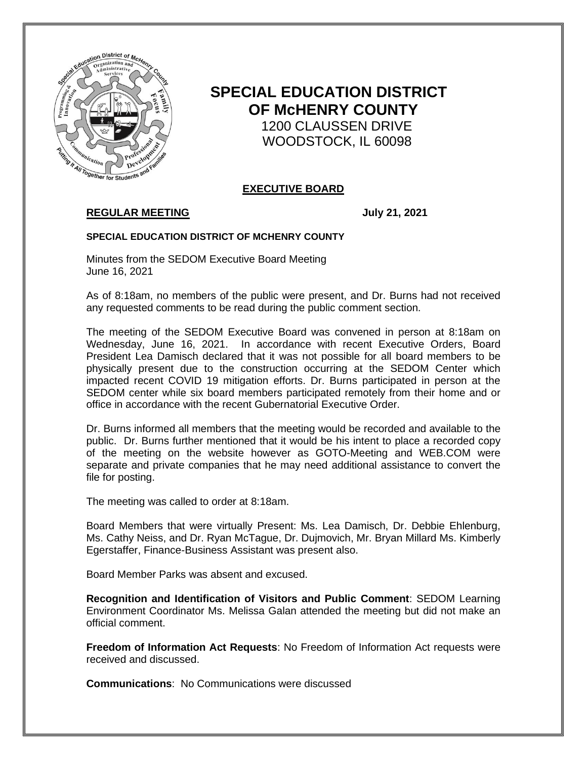

# **SPECIAL EDUCATION DISTRICT OF McHENRY COUNTY** 1200 CLAUSSEN DRIVE WOODSTOCK, IL 60098

# **EXECUTIVE BOARD**

# **REGULAR MEETING July 21, 2021**

#### **SPECIAL EDUCATION DISTRICT OF MCHENRY COUNTY**

Minutes from the SEDOM Executive Board Meeting June 16, 2021

As of 8:18am, no members of the public were present, and Dr. Burns had not received any requested comments to be read during the public comment section.

The meeting of the SEDOM Executive Board was convened in person at 8:18am on Wednesday, June 16, 2021. In accordance with recent Executive Orders, Board President Lea Damisch declared that it was not possible for all board members to be physically present due to the construction occurring at the SEDOM Center which impacted recent COVID 19 mitigation efforts. Dr. Burns participated in person at the SEDOM center while six board members participated remotely from their home and or office in accordance with the recent Gubernatorial Executive Order.

Dr. Burns informed all members that the meeting would be recorded and available to the public. Dr. Burns further mentioned that it would be his intent to place a recorded copy of the meeting on the website however as GOTO-Meeting and WEB.COM were separate and private companies that he may need additional assistance to convert the file for posting.

The meeting was called to order at 8:18am.

Board Members that were virtually Present: Ms. Lea Damisch, Dr. Debbie Ehlenburg, Ms. Cathy Neiss, and Dr. Ryan McTague, Dr. Dujmovich, Mr. Bryan Millard Ms. Kimberly Egerstaffer, Finance-Business Assistant was present also.

Board Member Parks was absent and excused.

**Recognition and Identification of Visitors and Public Comment**: SEDOM Learning Environment Coordinator Ms. Melissa Galan attended the meeting but did not make an official comment.

**Freedom of Information Act Requests**: No Freedom of Information Act requests were received and discussed.

**Communications**: No Communications were discussed